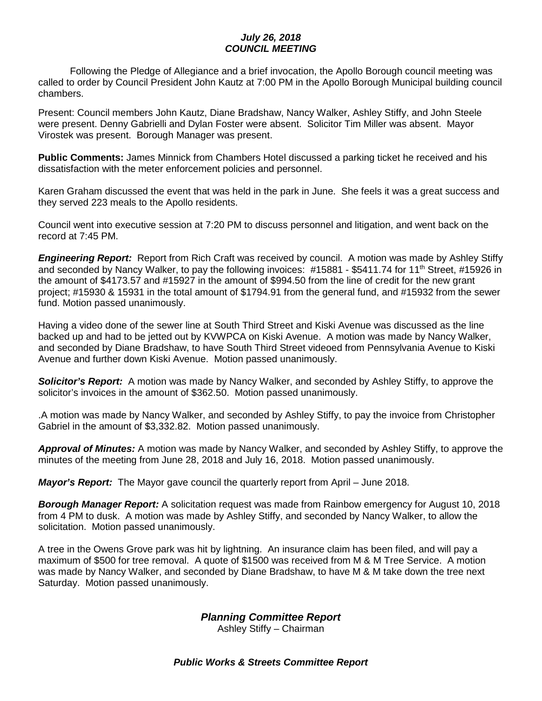## *July 26, 2018 COUNCIL MEETING*

Following the Pledge of Allegiance and a brief invocation, the Apollo Borough council meeting was called to order by Council President John Kautz at 7:00 PM in the Apollo Borough Municipal building council chambers.

Present: Council members John Kautz, Diane Bradshaw, Nancy Walker, Ashley Stiffy, and John Steele were present. Denny Gabrielli and Dylan Foster were absent. Solicitor Tim Miller was absent. Mayor Virostek was present. Borough Manager was present.

**Public Comments:** James Minnick from Chambers Hotel discussed a parking ticket he received and his dissatisfaction with the meter enforcement policies and personnel.

Karen Graham discussed the event that was held in the park in June. She feels it was a great success and they served 223 meals to the Apollo residents.

Council went into executive session at 7:20 PM to discuss personnel and litigation, and went back on the record at 7:45 PM.

*Engineering Report:* Report from Rich Craft was received by council. A motion was made by Ashley Stiffy and seconded by Nancy Walker, to pay the following invoices: #15881 - \$5411.74 for 11<sup>th</sup> Street, #15926 in the amount of \$4173.57 and #15927 in the amount of \$994.50 from the line of credit for the new grant project; #15930 & 15931 in the total amount of \$1794.91 from the general fund, and #15932 from the sewer fund. Motion passed unanimously.

Having a video done of the sewer line at South Third Street and Kiski Avenue was discussed as the line backed up and had to be jetted out by KVWPCA on Kiski Avenue. A motion was made by Nancy Walker, and seconded by Diane Bradshaw, to have South Third Street videoed from Pennsylvania Avenue to Kiski Avenue and further down Kiski Avenue. Motion passed unanimously.

*Solicitor's Report:* A motion was made by Nancy Walker, and seconded by Ashley Stiffy, to approve the solicitor's invoices in the amount of \$362.50. Motion passed unanimously.

.A motion was made by Nancy Walker, and seconded by Ashley Stiffy, to pay the invoice from Christopher Gabriel in the amount of \$3,332.82. Motion passed unanimously.

*Approval of Minutes:* A motion was made by Nancy Walker, and seconded by Ashley Stiffy, to approve the minutes of the meeting from June 28, 2018 and July 16, 2018. Motion passed unanimously.

*Mayor's Report:* The Mayor gave council the quarterly report from April – June 2018.

*Borough Manager Report:* A solicitation request was made from Rainbow emergency for August 10, 2018 from 4 PM to dusk. A motion was made by Ashley Stiffy, and seconded by Nancy Walker, to allow the solicitation. Motion passed unanimously.

A tree in the Owens Grove park was hit by lightning. An insurance claim has been filed, and will pay a maximum of \$500 for tree removal. A quote of \$1500 was received from M & M Tree Service. A motion was made by Nancy Walker, and seconded by Diane Bradshaw, to have M & M take down the tree next Saturday. Motion passed unanimously.

*Planning Committee Report*

Ashley Stiffy – Chairman

*Public Works & Streets Committee Report*